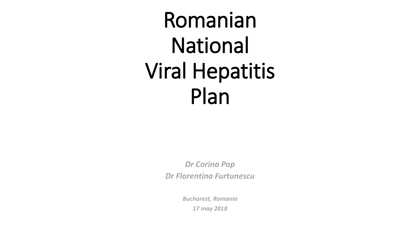# Romanian National Viral Hepatitis Plan

*Dr Corina Pop Dr Florentina Furtunescu*

> *Bucharest, Romania 17 may 2018*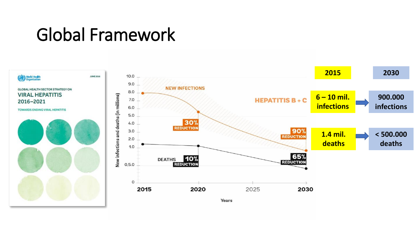## Global Framework

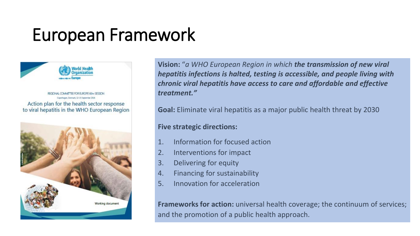## European Framework



DRIGHALL COMMUTTEE ROD EL RODE GGN, CECCION Action plan for the health sector response to viral hepatitis in the WHO European Region



**Vision:** "*a WHO European Region in which the transmission of new viral hepatitis infections is halted, testing is accessible, and people living with chronic viral hepatitis have access to care and affordable and effective treatment."*

**Goal:** Eliminate viral hepatitis as a major public health threat by 2030

#### **Five strategic directions:**

- 1. Information for focused action
- 2. Interventions for impact
- 3. Delivering for equity
- 4. Financing for sustainability
- 5. Innovation for acceleration

**Frameworks for action:** universal health coverage; the continuum of services; and the promotion of a public health approach.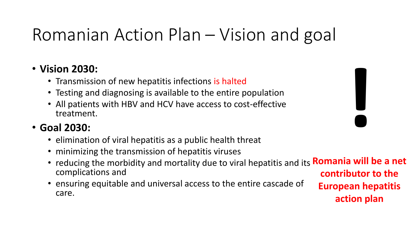## Romanian Action Plan – Vision and goal

### • **Vision 2030:**

- Transmission of new hepatitis infections is halted
- Testing and diagnosing is available to the entire population
- All patients with HBV and HCV have access to cost-effective treatment.

### • **Goal 2030:**

- elimination of viral hepatitis as a public health threat
- minimizing the transmission of hepatitis viruses
- reducing the morbidity and mortality due to viral hepatitis and its **Romania will be a net**  complications and **contributor to the**
- ensuring equitable and universal access to the entire cascade of care.

**European hepatitis action plan**

**!**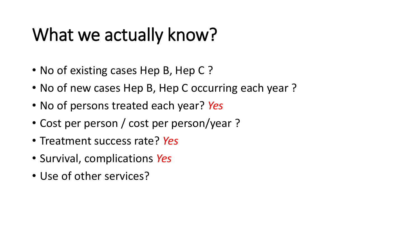## What we actually know?

- No of existing cases Hep B, Hep C?
- No of new cases Hep B, Hep C occurring each year ?
- No of persons treated each year? *Yes*
- Cost per person / cost per person/year ?
- Treatment success rate? *Yes*
- Survival, complications *Yes*
- Use of other services?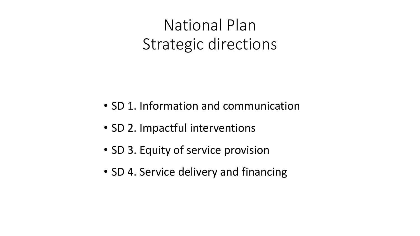### National Plan Strategic directions

- SD 1. Information and communication
- SD 2. Impactful interventions
- SD 3. Equity of service provision
- SD 4. Service delivery and financing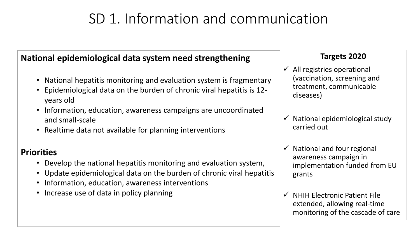### SD 1. Information and communication

#### **National epidemiological data system need strengthening**

- National hepatitis monitoring and evaluation system is fragmentary
- Epidemiological data on the burden of chronic viral hepatitis is 12 years old
- Information, education, awareness campaigns are uncoordinated and small-scale
- Realtime data not available for planning interventions

#### **Priorities**

- Develop the national hepatitis monitoring and evaluation system,
- Update epidemiological data on the burden of chronic viral hepatitis
- Information, education, awareness interventions
- Increase use of data in policy planning

#### **Targets 2020**

- $\checkmark$  All registries operational (vaccination, screening and treatment, communicable diseases)
- National epidemiological study carried out
- National and four regional awareness campaign in implementation funded from EU grants
- NHIH Electronic Patient File extended, allowing real-time monitoring of the cascade of care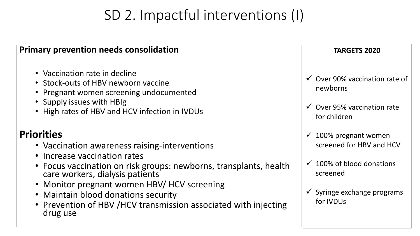### SD 2. Impactful interventions (I)

#### **Primary prevention needs consolidation** • Vaccination rate in decline • Stock-outs of HBV newborn vaccine • Pregnant women screening undocumented • Supply issues with HBIg • High rates of HBV and HCV infection in IVDUs **Priorities** • Vaccination awareness raising-interventions • Increase vaccination rates • Focus vaccination on risk groups: newborns, transplants, health care workers, dialysis patients • Monitor pregnant women HBV/ HCV screening • Maintain blood donations security **TARGETS 2020**  $\checkmark$  Over 90% vaccination rate of newborns  $\checkmark$  Over 95% vaccination rate for children  $\checkmark$  100% pregnant women screened for HBV and HCV  $\checkmark$  100% of blood donations screened  $\checkmark$  Syringe exchange programs for IVDUs

• Prevention of HBV /HCV transmission associated with injecting drug use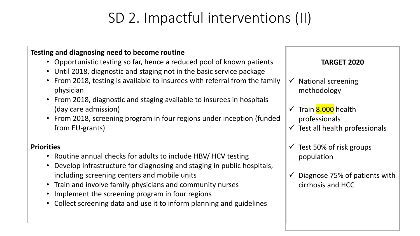### SD 2. Impactful interventions (II)

#### **Testing and diagnosing need to become routine**

- Opportunistic testing so far, hence a reduced pool of known patients
- Until 2018, diagnostic and staging not in the basic service package
- From 2018, testing is available to insurees with referral from the family physician
- From 2018, diagnostic and staging available to insurees in hospitals (day care admission)
- From 2018, screening program in four regions under inception (funded from EU-grants)

#### **Priorities**

- Routine annual checks for adults to include HBV/ HCV testing
- Develop infrastructure for diagnosing and staging in public hospitals, including screening centers and mobile units
- Train and involve family physicians and community nurses
- Implement the screening program in four regions
- Collect screening data and use it to inform planning and guidelines

#### **TARGET 2020**

- $\checkmark$  National screening methodology
- $\checkmark$  Train 8.000 health professionals
- $\checkmark$  Test all health professionals
- $\checkmark$  Test 50% of risk groups population
- $\checkmark$  Diagnose 75% of patients with cirrhosis and HCC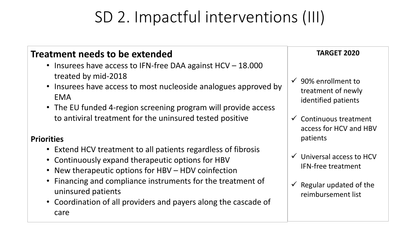## SD 2. Impactful interventions (III)

### **Treatment needs to be extended**

- Insurees have access to IFN-free DAA against HCV 18.000 treated by mid-2018
- Insurees have access to most nucleoside analogues approved by EMA
- The EU funded 4-region screening program will provide access to antiviral treatment for the uninsured tested positive

#### **Priorities**

- Extend HCV treatment to all patients regardless of fibrosis
- Continuously expand therapeutic options for HBV
- New therapeutic options for HBV HDV coinfection
- Financing and compliance instruments for the treatment of uninsured patients
- Coordination of all providers and payers along the cascade of care

#### **TARGET 2020**

- $\checkmark$  90% enrollment to treatment of newly identified patients
- $\checkmark$  Continuous treatment access for HCV and HBV patients
- $\checkmark$  Universal access to HCV IFN-free treatment
- Regular updated of the reimbursement list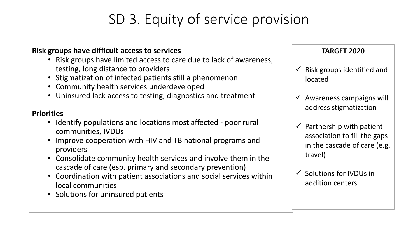### SD 3. Equity of service provision

#### **Risk groups have difficult access to services**

- Risk groups have limited access to care due to lack of awareness, testing, long distance to providers
- Stigmatization of infected patients still a phenomenon
- Community health services underdeveloped
- Uninsured lack access to testing, diagnostics and treatment

#### **Priorities**

- Identify populations and locations most affected poor rural communities, IVDUs
- Improve cooperation with HIV and TB national programs and providers
- Consolidate community health services and involve them in the cascade of care (esp. primary and secondary prevention)
- Coordination with patient associations and social services within local communities
- Solutions for uninsured patients

#### **TARGET 2020**

- $\checkmark$  Risk groups identified and located
- $\checkmark$  Awareness campaigns will address stigmatization
- $\checkmark$  Partnership with patient association to fill the gaps in the cascade of care (e.g. travel)
- $\checkmark$  Solutions for IVDUs in addition centers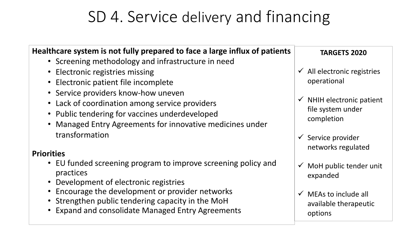### SD 4. Service delivery and financing

#### **Healthcare system is not fully prepared to face a large influx of patients** • Screening methodology and infrastructure in need • Electronic registries missing • Electronic patient file incomplete • Service providers know-how uneven • Lack of coordination among service providers • Public tendering for vaccines underdeveloped • Managed Entry Agreements for innovative medicines under transformation **Priorities** • EU funded screening program to improve screening policy and practices • Development of electronic registries • Encourage the development or provider networks **TARGETS 2020**  $\checkmark$  All electronic registries operational  $\checkmark$  NHIH electronic patient file system under completion  $\checkmark$  Service provider networks regulated  $\checkmark$  MoH public tender unit expanded  $\checkmark$  MEAs to include all available therapeutic

options

• Strengthen public tendering capacity in the MoH • Expand and consolidate Managed Entry Agreements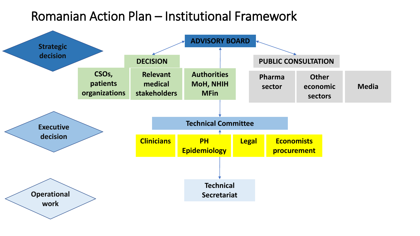### Romanian Action Plan – Institutional Framework